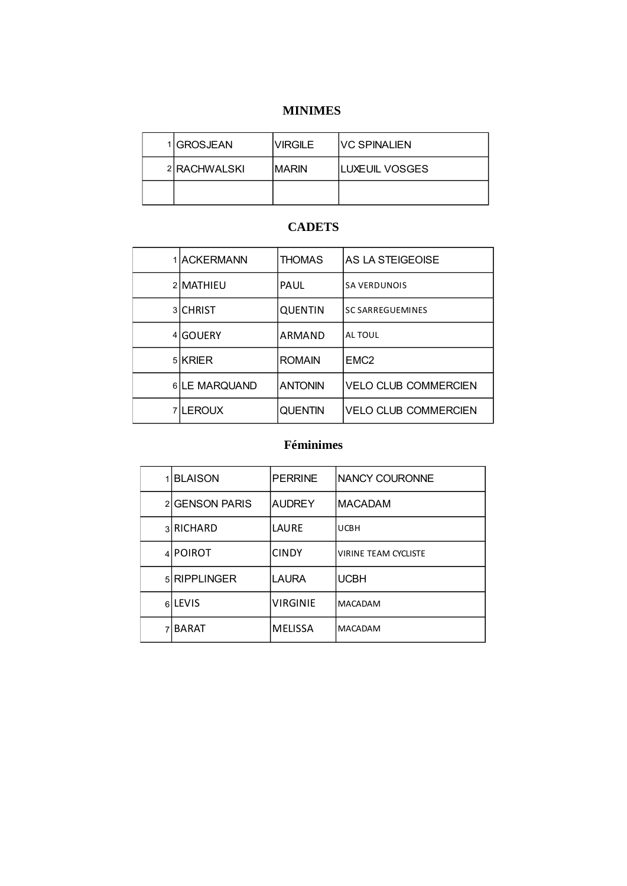#### MINIMES

|              | <b>MINIMES</b> |                |  |
|--------------|----------------|----------------|--|
| 1 GROSJEAN   | VIRGILE        | VC SPINALIEN   |  |
| 2 RACHWALSKI | MARIN          | LUXEUIL VOSGES |  |
|              |                |                |  |

#### **CADETS**

| 1 ACKERMANN   | <b>THOMAS</b>  | AS LA STEIGEOISE            |
|---------------|----------------|-----------------------------|
| 2 MATHIEU     | PAUL           | <b>SA VERDUNOIS</b>         |
| 3 CHRIST      | <b>QUENTIN</b> | <b>SC SARREGUEMINES</b>     |
| 4 GOUERY      | ARMAND         | AL TOUL                     |
| 5 KRIER       | <b>ROMAIN</b>  | EMC <sub>2</sub>            |
| 6 LE MARQUAND | <b>ANTONIN</b> | <b>VELO CLUB COMMERCIEN</b> |
| 7 LEROUX      | <b>QUENTIN</b> | <b>VELO CLUB COMMERCIEN</b> |

#### Féminimes

| 1 BLAISON      | <b>PERRINE</b>  | <b>NANCY COURONNE</b>       |
|----------------|-----------------|-----------------------------|
| 2 GENSON PARIS | <b>AUDREY</b>   | <b>MACADAM</b>              |
| 3 RICHARD      | LAURE           | <b>UCBH</b>                 |
| 4 POIROT       | <b>CINDY</b>    | <b>VIRINE TEAM CYCLISTE</b> |
| 5 RIPPLINGER   | <b>LAURA</b>    | <b>UCBH</b>                 |
| 6LEVIS         | <b>VIRGINIE</b> | <b>MACADAM</b>              |
| 7 BARAT        | <b>MELISSA</b>  | <b>MACADAM</b>              |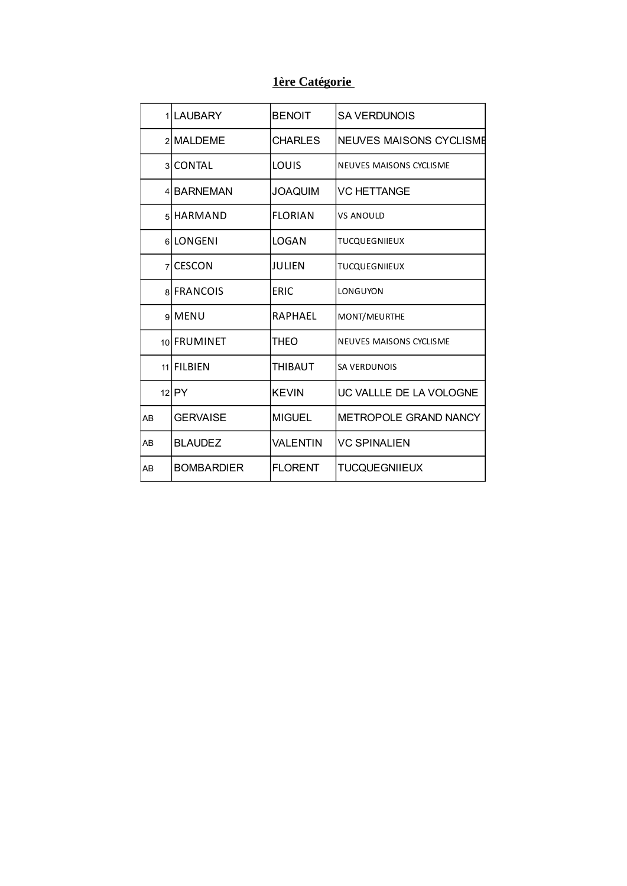# 1ère Catégorie

|    | 1 LAUBARY         | <b>BENOIT</b>  | <b>SA VERDUNOIS</b>     |
|----|-------------------|----------------|-------------------------|
|    | 2 MALDEME         | CHARLES        | NEUVES MAISONS CYCLISME |
|    | 3 CONTAL          | LOUIS          | NEUVES MAISONS CYCLISME |
|    | 4 BARNEMAN        | <b>JOAQUIM</b> | <b>VC HETTANGE</b>      |
|    | 5 HARMAND         | <b>FLORIAN</b> | <b>VS ANOULD</b>        |
|    | 6LONGENI          | LOGAN          | <b>TUCQUEGNIIEUX</b>    |
|    | zICESCON          | JULIEN         | <b>TUCQUEGNIIEUX</b>    |
|    | 8 FRANCOIS        | <b>ERIC</b>    | LONGUYON                |
|    | 9 MENU            | RAPHAEL        | MONT/MEURTHE            |
|    | 10 FRUMINET       | THEO           | NEUVES MAISONS CYCLISME |
|    | 11 FILBIEN        | <b>THIBAUT</b> | SA VERDUNOIS            |
|    | $12$ $PY$         | <b>KEVIN</b>   | UC VALLLE DE LA VOLOGNE |
| AB | <b>GERVAISE</b>   | <b>MIGUEL</b>  | METROPOLE GRAND NANCY   |
| AB | <b>BLAUDEZ</b>    | VALENTIN       | <b>VC SPINALIEN</b>     |
| AB | <b>BOMBARDIER</b> | <b>FLORENT</b> | <b>TUCQUEGNIIEUX</b>    |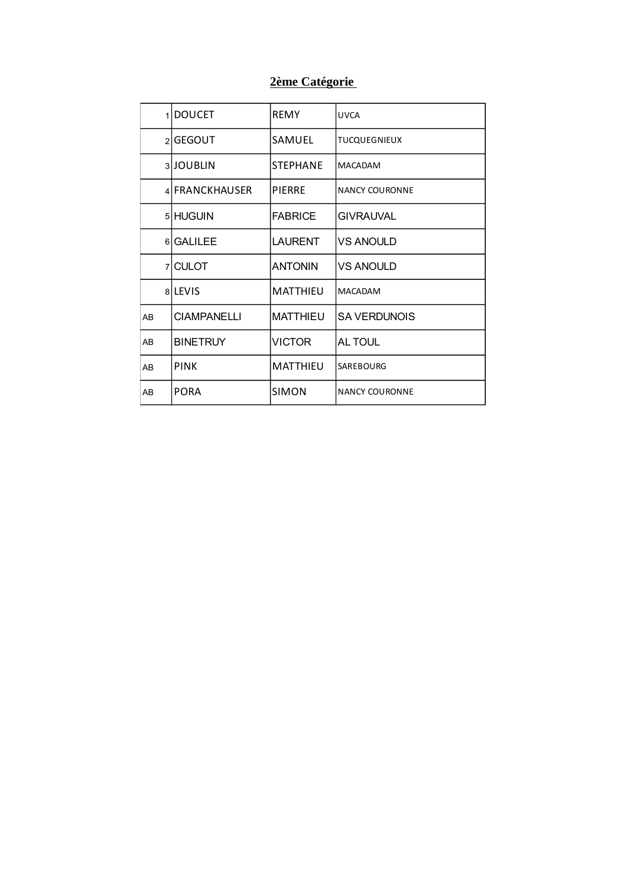# 2ème Catégorie

| 1              | <b>DOUCET</b>      | REMY            | UVCA                  |
|----------------|--------------------|-----------------|-----------------------|
|                | 2 GEGOUT           | SAMUEL          | <b>TUCQUEGNIEUX</b>   |
|                | 3JOUBLIN           | STEPHANE        | <b>MACADAM</b>        |
|                | 4 FRANCKHAUSER     | <b>PIERRE</b>   | NANCY COURONNE        |
|                | 5 HUGUIN           | <b>FABRICE</b>  | <b>GIVRAUVAL</b>      |
|                | 6 GALILEE          | <b>LAURENT</b>  | <b>VS ANOULD</b>      |
|                | 7 CULOT            | <b>ANTONIN</b>  | <b>VS ANOULD</b>      |
|                | <b>alLEVIS</b>     | MATTHIEU        | <b>MACADAM</b>        |
| A <sub>B</sub> | <b>CIAMPANELLI</b> | <b>MATTHIEU</b> | <b>SA VERDUNOIS</b>   |
| A <sub>B</sub> | <b>BINETRUY</b>    | VICTOR          | AL TOUL               |
| AB             | <b>PINK</b>        | <b>MATTHIEU</b> | SAREBOURG             |
| AB             | <b>PORA</b>        | SIMON           | <b>NANCY COURONNE</b> |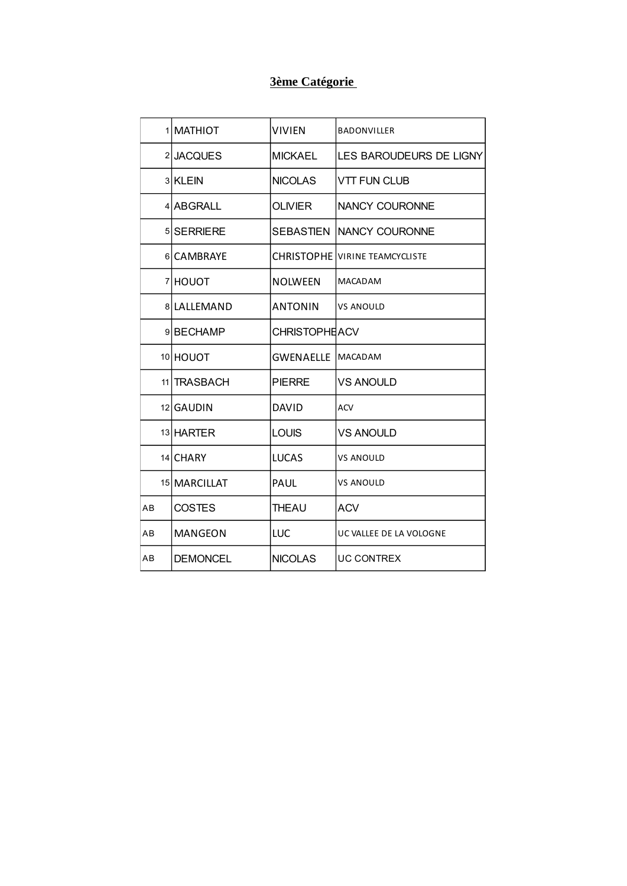# 3ème Catégorie

|    | 1 MATHIOT       | <b>VIVIEN</b>              | <b>BADONVILLER</b>                    |
|----|-----------------|----------------------------|---------------------------------------|
|    | 2JACQUES        | <b>MICKAEL</b>             | <b>LES BAROUDEURS DE LIGNY</b>        |
|    | 3 KLEIN         | <b>NICOLAS</b>             | <b>VTT FUN CLUB</b>                   |
|    | 4 ABGRALL       | OLIVIER                    | <b>NANCY COURONNE</b>                 |
|    | 5 SERRIERE      |                            | <b>SEBASTIEN INANCY COURONNE</b>      |
|    | 6 CAMBRAYE      |                            | <b>CHRISTOPHE VIRINE TEAMCYCLISTE</b> |
|    | 7 HOUOT         | <b>NOLWEEN</b>             | <b>MACADAM</b>                        |
|    | 8 LALLEMAND     | <b>ANTONIN</b>             | <b>VS ANOULD</b>                      |
|    | 9BECHAMP        | <b>CHRISTOPHEACV</b>       |                                       |
|    | 10 HOUOT        | <b>GWENAELLE   MACADAM</b> |                                       |
|    | 11 TRASBACH     | <b>PIERRE</b>              | <b>VS ANOULD</b>                      |
|    | 12 GAUDIN       | <b>DAVID</b>               | <b>ACV</b>                            |
|    | 13 HARTER       | <b>LOUIS</b>               | <b>VS ANOULD</b>                      |
|    | 14 CHARY        | <b>LUCAS</b>               | <b>VS ANOULD</b>                      |
|    | 15 MARCILLAT    | PAUL                       | <b>VS ANOULD</b>                      |
| AB | <b>COSTES</b>   | <b>THEAU</b>               | <b>ACV</b>                            |
| AB | <b>MANGEON</b>  | <b>LUC</b>                 | UC VALLEE DE LA VOLOGNE               |
| AВ | <b>DEMONCEL</b> | <b>NICOLAS</b>             | <b>UC CONTREX</b>                     |